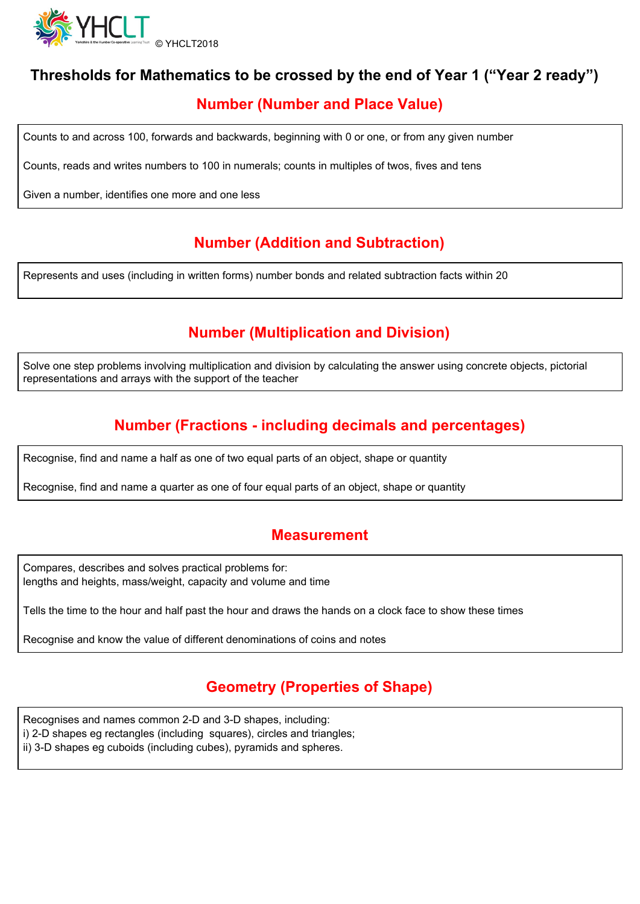

# **Thresholds for Mathematics to be crossed by the end of Year 1 ("Year 2 ready")**

# **Number (Number and Place Value)**

Counts to and across 100, forwards and backwards, beginning with 0 or one, or from any given number

Counts, reads and writes numbers to 100 in numerals; counts in multiples of twos, fives and tens

Given a number, identifies one more and one less

# **Number (Addition and Subtraction)**

Represents and uses (including in written forms) number bonds and related subtraction facts within 20

# **Number (Multiplication and Division)**

Solve one step problems involving multiplication and division by calculating the answer using concrete objects, pictorial representations and arrays with the support of the teacher

# **Number (Fractions - including decimals and percentages)**

Recognise, find and name a half as one of two equal parts of an object, shape or quantity

Recognise, find and name a quarter as one of four equal parts of an object, shape or quantity

#### **Measurement**

Compares, describes and solves practical problems for: lengths and heights, mass/weight, capacity and volume and time

Tells the time to the hour and half past the hour and draws the hands on a clock face to show these times

Recognise and know the value of different denominations of coins and notes

### **Geometry (Properties of Shape)**

Recognises and names common 2-D and 3-D shapes, including: i) 2-D shapes eg rectangles (including squares), circles and triangles; ii) 3-D shapes eg cuboids (including cubes), pyramids and spheres.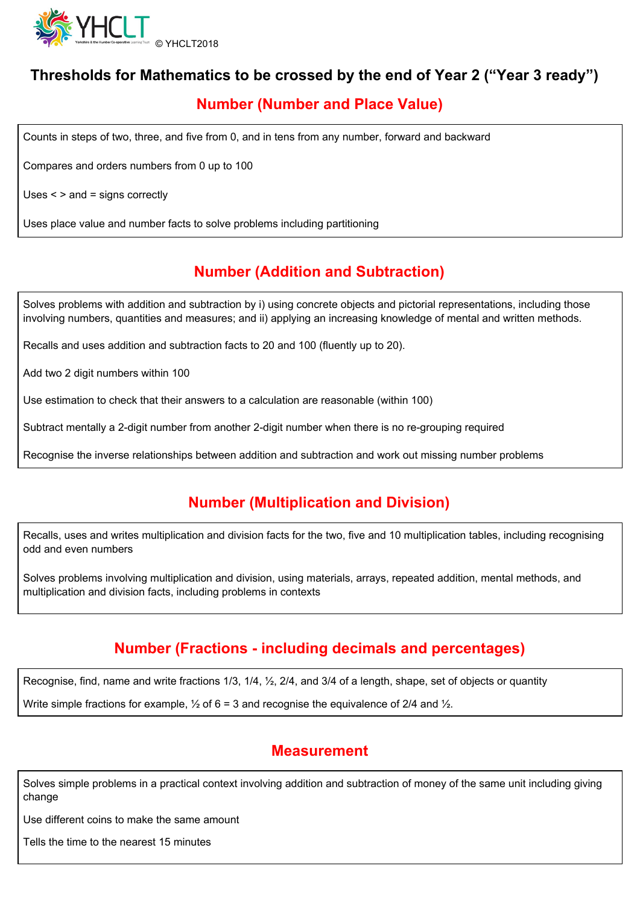

## **Thresholds for Mathematics to be crossed by the end of Year 2 ("Year 3 ready")**

## **Number (Number and Place Value)**

Counts in steps of two, three, and five from 0, and in tens from any number, forward and backward

Compares and orders numbers from 0 up to 100

Uses < > and = signs correctly

Uses place value and number facts to solve problems including partitioning

# **Number (Addition and Subtraction)**

Solves problems with addition and subtraction by i) using concrete objects and pictorial representations, including those involving numbers, quantities and measures; and ii) applying an increasing knowledge of mental and written methods.

Recalls and uses addition and subtraction facts to 20 and 100 (fluently up to 20).

Add two 2 digit numbers within 100

Use estimation to check that their answers to a calculation are reasonable (within 100)

Subtract mentally a 2-digit number from another 2-digit number when there is no re-grouping required

Recognise the inverse relationships between addition and subtraction and work out missing number problems

# **Number (Multiplication and Division)**

Recalls, uses and writes multiplication and division facts for the two, five and 10 multiplication tables, including recognising odd and even numbers

Solves problems involving multiplication and division, using materials, arrays, repeated addition, mental methods, and multiplication and division facts, including problems in contexts

### **Number (Fractions - including decimals and percentages)**

Recognise, find, name and write fractions 1/3, 1/4, ½, 2/4, and 3/4 of a length, shape, set of objects or quantity

Write simple fractions for example,  $\frac{1}{2}$  of 6 = 3 and recognise the equivalence of 2/4 and  $\frac{1}{2}$ .

#### **Measurement**

Solves simple problems in a practical context involving addition and subtraction of money of the same unit including giving change

Use different coins to make the same amount

Tells the time to the nearest 15 minutes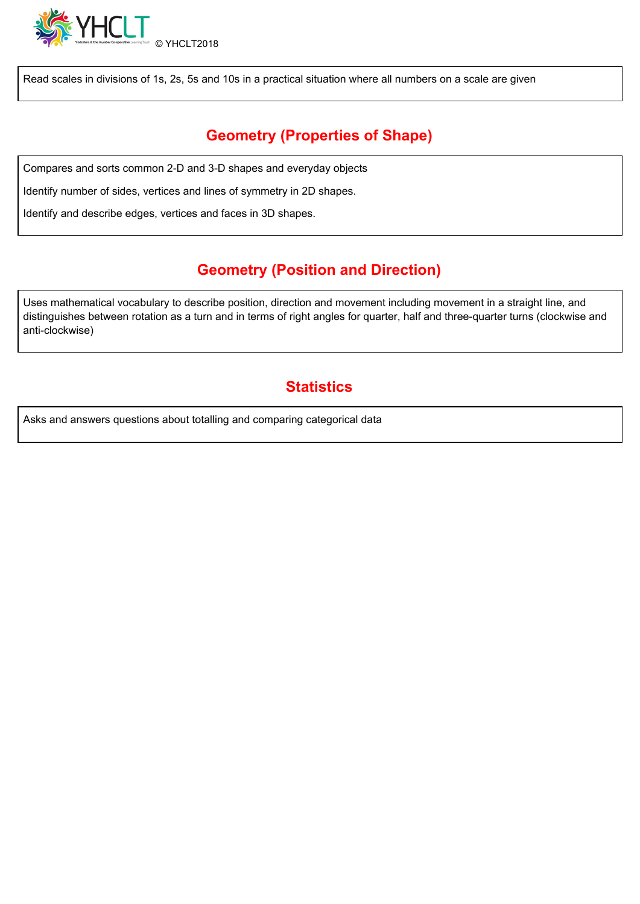

Read scales in divisions of 1s, 2s, 5s and 10s in a practical situation where all numbers on a scale are given

# **Geometry (Properties of Shape)**

Compares and sorts common 2-D and 3-D shapes and everyday objects

Identify number of sides, vertices and lines of symmetry in 2D shapes.

Identify and describe edges, vertices and faces in 3D shapes.

### **Geometry (Position and Direction)**

Uses mathematical vocabulary to describe position, direction and movement including movement in a straight line, and distinguishes between rotation as a turn and in terms of right angles for quarter, half and three-quarter turns (clockwise and anti-clockwise)

### **Statistics**

Asks and answers questions about totalling and comparing categorical data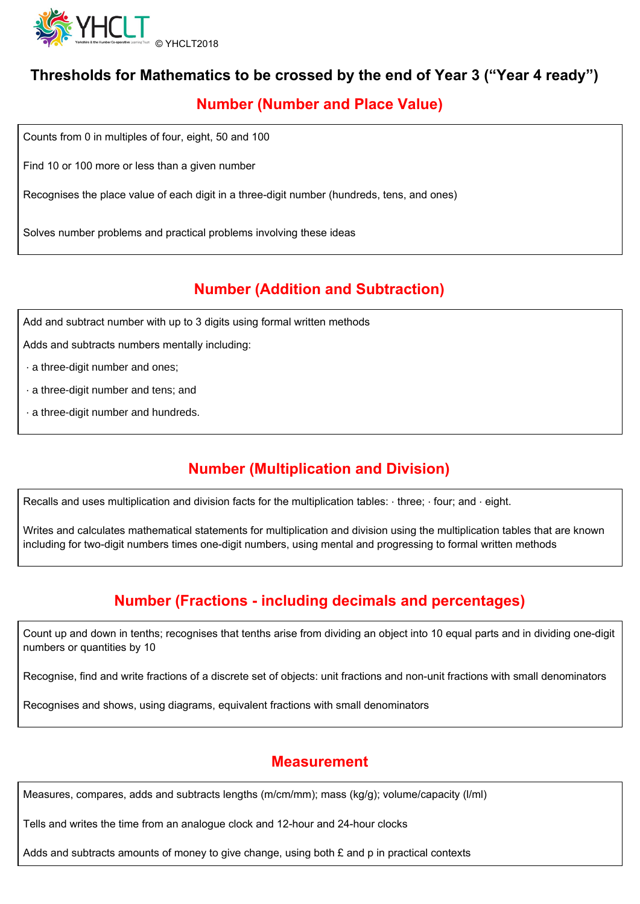

# **Thresholds for Mathematics to be crossed by the end of Year 3 ("Year 4 ready")**

## **Number (Number and Place Value)**

Counts from 0 in multiples of four, eight, 50 and 100

Find 10 or 100 more or less than a given number

Recognises the place value of each digit in a three-digit number (hundreds, tens, and ones)

Solves number problems and practical problems involving these ideas

# **Number (Addition and Subtraction)**

Add and subtract number with up to 3 digits using formal written methods

Adds and subtracts numbers mentally including:

- ∙ a three-digit number and ones;
- ∙ a three-digit number and tens; and
- ∙ a three-digit number and hundreds.

### **Number (Multiplication and Division)**

Recalls and uses multiplication and division facts for the multiplication tables: ∙ three; ∙ four; and ∙ eight.

Writes and calculates mathematical statements for multiplication and division using the multiplication tables that are known including for two-digit numbers times one-digit numbers, using mental and progressing to formal written methods

# **Number (Fractions - including decimals and percentages)**

Count up and down in tenths; recognises that tenths arise from dividing an object into 10 equal parts and in dividing one-digit numbers or quantities by 10

Recognise, find and write fractions of a discrete set of objects: unit fractions and non-unit fractions with small denominators

Recognises and shows, using diagrams, equivalent fractions with small denominators

#### **Measurement**

Measures, compares, adds and subtracts lengths (m/cm/mm); mass (kg/g); volume/capacity (l/ml)

Tells and writes the time from an analogue clock and 12-hour and 24-hour clocks

Adds and subtracts amounts of money to give change, using both  $E$  and p in practical contexts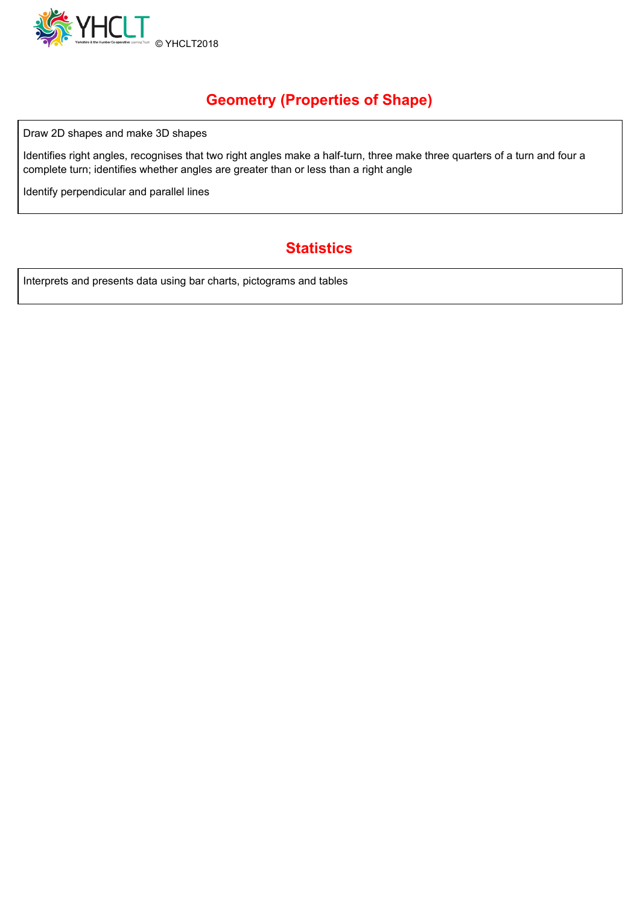

# **Geometry (Properties of Shape)**

Draw 2D shapes and make 3D shapes

Identifies right angles, recognises that two right angles make a half-turn, three make three quarters of a turn and four a complete turn; identifies whether angles are greater than or less than a right angle

Identify perpendicular and parallel lines

# **Statistics**

Interprets and presents data using bar charts, pictograms and tables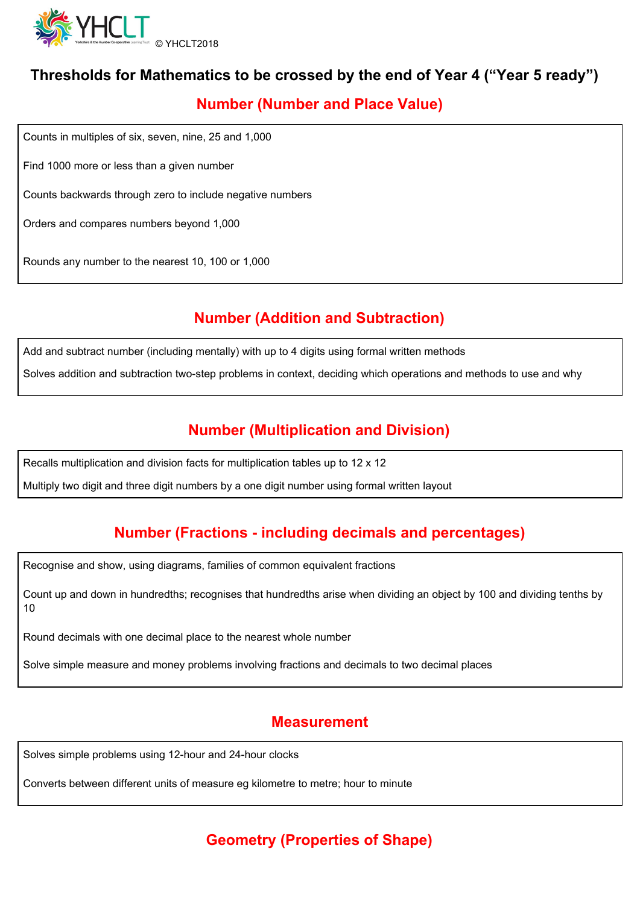

## **Thresholds for Mathematics to be crossed by the end of Year 4 ("Year 5 ready")**

## **Number (Number and Place Value)**

Counts in multiples of six, seven, nine, 25 and 1,000

Find 1000 more or less than a given number

Counts backwards through zero to include negative numbers

Orders and compares numbers beyond 1,000

Rounds any number to the nearest 10, 100 or 1,000

# **Number (Addition and Subtraction)**

Add and subtract number (including mentally) with up to 4 digits using formal written methods

Solves addition and subtraction two-step problems in context, deciding which operations and methods to use and why

## **Number (Multiplication and Division)**

Recalls multiplication and division facts for multiplication tables up to 12 x 12

Multiply two digit and three digit numbers by a one digit number using formal written layout

# **Number (Fractions - including decimals and percentages)**

Recognise and show, using diagrams, families of common equivalent fractions

Count up and down in hundredths; recognises that hundredths arise when dividing an object by 100 and dividing tenths by 10

Round decimals with one decimal place to the nearest whole number

Solve simple measure and money problems involving fractions and decimals to two decimal places

#### **Measurement**

Solves simple problems using 12-hour and 24-hour clocks

Converts between different units of measure eg kilometre to metre; hour to minute

# **Geometry (Properties of Shape)**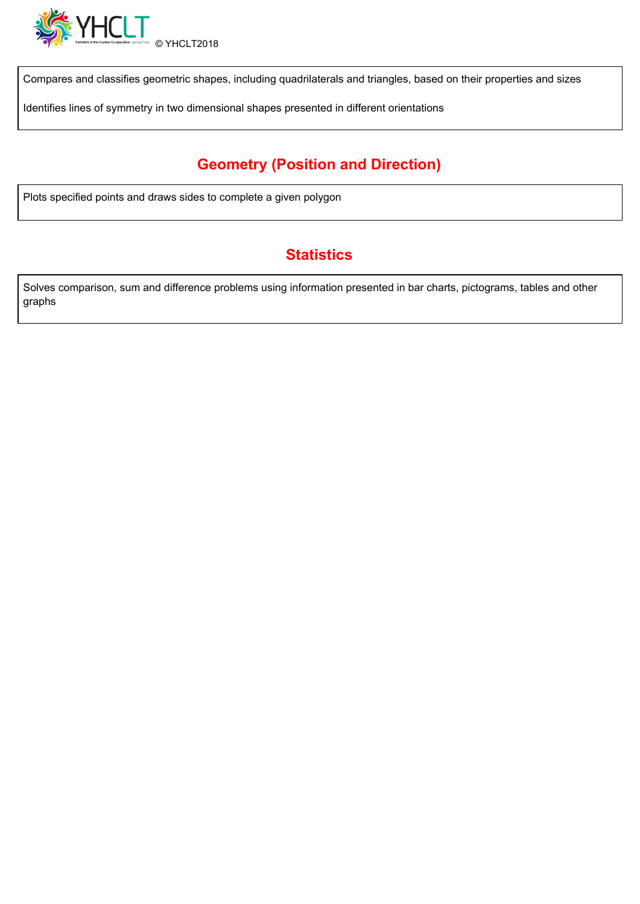

Compares and classifies geometric shapes, including quadrilaterals and triangles, based on their properties and sizes

Identifies lines of symmetry in two dimensional shapes presented in different orientations

# **Geometry (Position and Direction)**

Plots specified points and draws sides to complete a given polygon

# **Statistics**

Solves comparison, sum and difference problems using information presented in bar charts, pictograms, tables and other graphs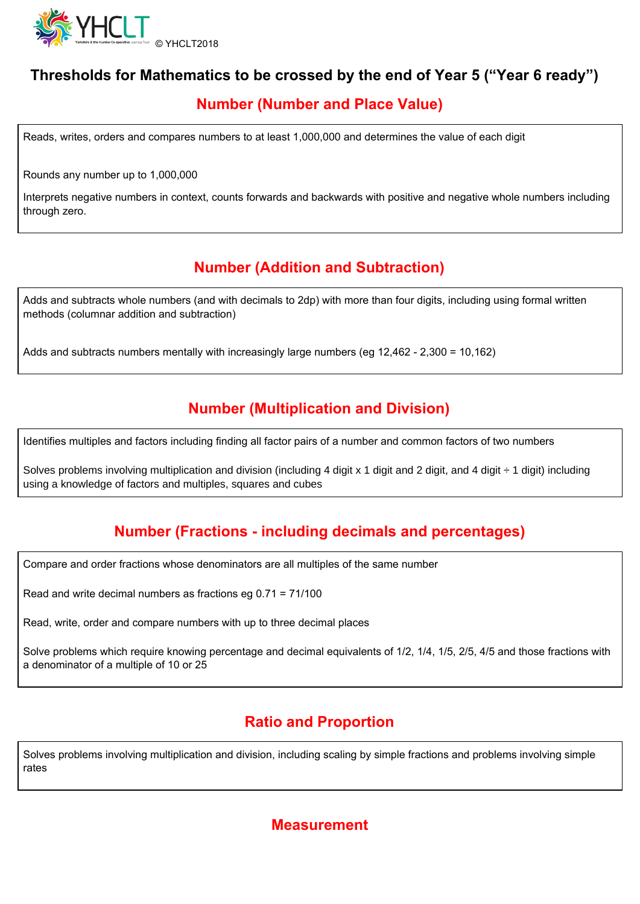

## **Thresholds for Mathematics to be crossed by the end of Year 5 ("Year 6 ready")**

## **Number (Number and Place Value)**

Reads, writes, orders and compares numbers to at least 1,000,000 and determines the value of each digit

Rounds any number up to 1,000,000

Interprets negative numbers in context, counts forwards and backwards with positive and negative whole numbers including through zero.

## **Number (Addition and Subtraction)**

Adds and subtracts whole numbers (and with decimals to 2dp) with more than four digits, including using formal written methods (columnar addition and subtraction)

Adds and subtracts numbers mentally with increasingly large numbers (eg 12,462 - 2,300 = 10,162)

## **Number (Multiplication and Division)**

Identifies multiples and factors including finding all factor pairs of a number and common factors of two numbers

Solves problems involving multiplication and division (including 4 digit x 1 digit and 2 digit, and 4 digit  $\div$  1 digit) including using a knowledge of factors and multiples, squares and cubes

# **Number (Fractions - including decimals and percentages)**

Compare and order fractions whose denominators are all multiples of the same number

Read and write decimal numbers as fractions eg 0.71 = 71/100

Read, write, order and compare numbers with up to three decimal places

Solve problems which require knowing percentage and decimal equivalents of 1/2, 1/4, 1/5, 2/5, 4/5 and those fractions with a denominator of a multiple of 10 or 25

### **Ratio and Proportion**

Solves problems involving multiplication and division, including scaling by simple fractions and problems involving simple rates

#### **Measurement**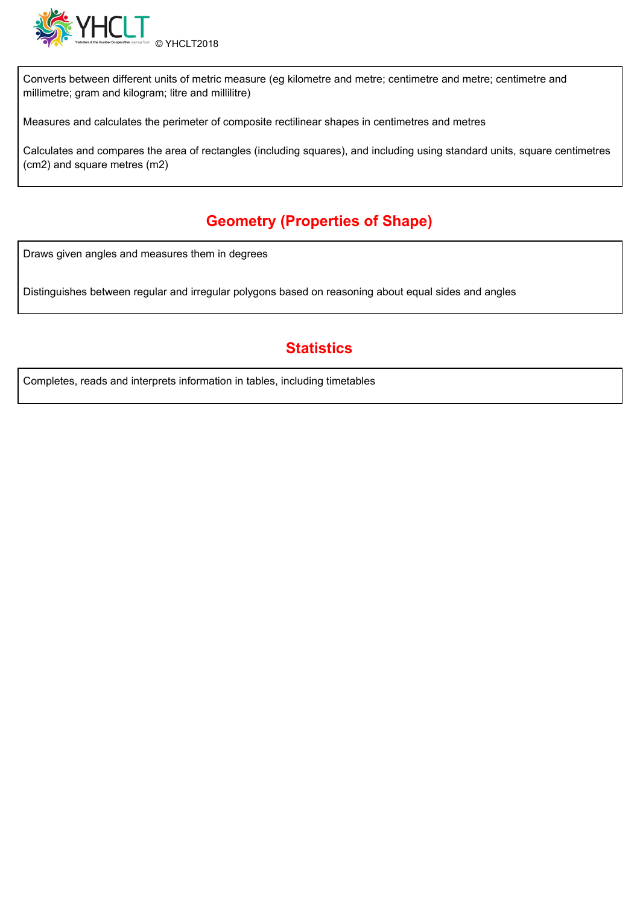

Converts between different units of metric measure (eg kilometre and metre; centimetre and metre; centimetre and millimetre; gram and kilogram; litre and millilitre)

Measures and calculates the perimeter of composite rectilinear shapes in centimetres and metres

Calculates and compares the area of rectangles (including squares), and including using standard units, square centimetres (cm2) and square metres (m2)

# **Geometry (Properties of Shape)**

Draws given angles and measures them in degrees

Distinguishes between regular and irregular polygons based on reasoning about equal sides and angles

## **Statistics**

Completes, reads and interprets information in tables, including timetables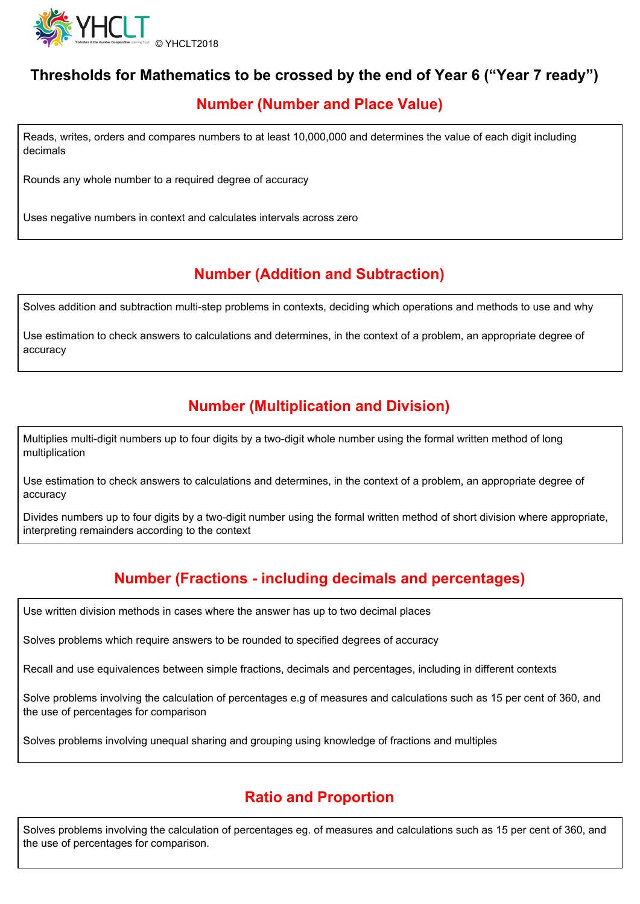

## **Thresholds for Mathematics to be crossed by the end of Year 6 ("Year 7 ready")**

## **Number (Number and Place Value)**

Reads, writes, orders and compares numbers to at least 10,000,000 and determines the value of each digit including decimals

Rounds any whole number to a required degree of accuracy

Uses negative numbers in context and calculates intervals across zero

# **Number (Addition and Subtraction)**

Solves addition and subtraction multi-step problems in contexts, deciding which operations and methods to use and why

Use estimation to check answers to calculations and determines, in the context of a problem, an appropriate degree of accuracy

### **Number (Multiplication and Division)**

Multiplies multi-digit numbers up to four digits by a two-digit whole number using the formal written method of long multiplication

Use estimation to check answers to calculations and determines, in the context of a problem, an appropriate degree of accuracy

Divides numbers up to four digits by a two-digit number using the formal written method of short division where appropriate, interpreting remainders according to the context

# **Number (Fractions - including decimals and percentages)**

Use written division methods in cases where the answer has up to two decimal places

Solves problems which require answers to be rounded to specified degrees of accuracy

Recall and use equivalences between simple fractions, decimals and percentages, including in different contexts

Solve problems involving the calculation of percentages e.g of measures and calculations such as 15 per cent of 360, and the use of percentages for comparison

Solves problems involving unequal sharing and grouping using knowledge of fractions and multiples

### **Ratio and Proportion**

Solves problems involving the calculation of percentages eg. of measures and calculations such as 15 per cent of 360, and the use of percentages for comparison.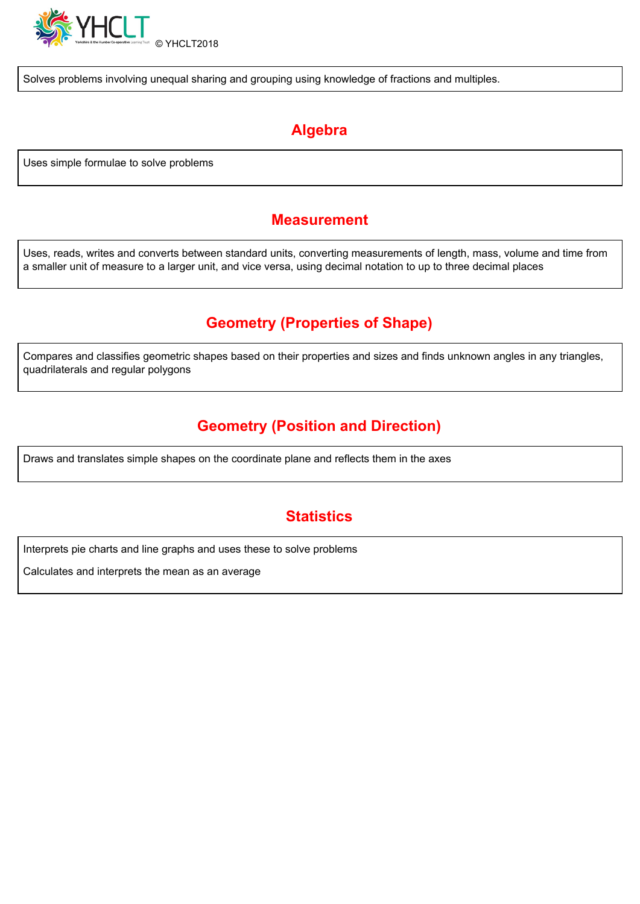

Solves problems involving unequal sharing and grouping using knowledge of fractions and multiples.

# **Algebra**

Uses simple formulae to solve problems

#### **Measurement**

Uses, reads, writes and converts between standard units, converting measurements of length, mass, volume and time from a smaller unit of measure to a larger unit, and vice versa, using decimal notation to up to three decimal places

# **Geometry (Properties of Shape)**

Compares and classifies geometric shapes based on their properties and sizes and finds unknown angles in any triangles, quadrilaterals and regular polygons

# **Geometry (Position and Direction)**

Draws and translates simple shapes on the coordinate plane and reflects them in the axes

### **Statistics**

Interprets pie charts and line graphs and uses these to solve problems

Calculates and interprets the mean as an average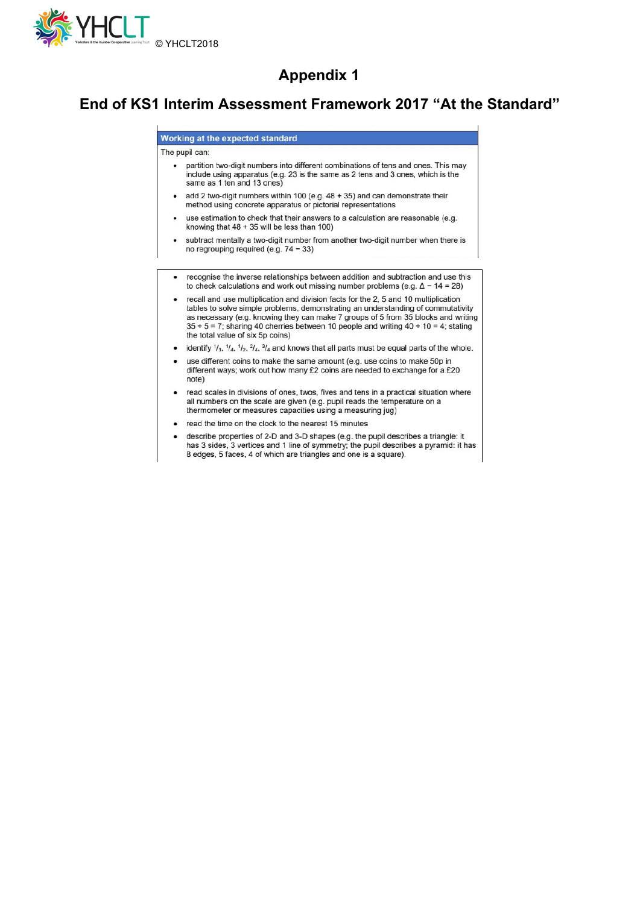

#### **Appendix 1**

#### **End of KS1 Interim Assessment Framework 2017 "At the Standard"**

Working at the expected standard The pupil can: partition two-digit numbers into different combinations of tens and ones. This may include using apparatus (e.g. 23 is the same as 2 tens and 3 ones, which is the same as 1 ten and 13 ones) • add 2 two-digit numbers within 100 (e.g. 48 + 35) and can demonstrate their method using concrete apparatus or pictorial representations use estimation to check that their answers to a calculation are reasonable (e.g. knowing that  $48 + 35$  will be less than 100) subtract mentally a two-digit number from another two-digit number when there is no regrouping required (e.g. 74 - 33) recognise the inverse relationships between addition and subtraction and use this to check calculations and work out missing number problems (e.g.  $\Delta$  - 14 = 28) • recall and use multiplication and division facts for the 2, 5 and 10 multiplication tables to solve simple problems, demonstrating an understanding of commutativity as necessary (e.g. knowing they can make 7 groups of 5 from 35 blocks and writing  $35 \div 5 = 7$ ; sharing 40 cherries between 10 people and writing 40 ÷ 10 = 4; stating the total value of six 5p coins) identify  $1/3$ ,  $1/4$ ,  $1/2$ ,  $2/4$ ,  $3/4$  and knows that all parts must be equal parts of the whole. use different coins to make the same amount (e.g. use coins to make 50p in different ways; work out how many £2 coins are needed to exchange for a £20 note) read scales in divisions of ones, twos, fives and tens in a practical situation where all numbers on the scale are given (e.g. pupil reads the temperature on a thermometer or measures capacities using a measuring jug)

- read the time on the clock to the nearest 15 minutes
- describe properties of 2-D and 3-D shapes (e.g. the pupil describes a triangle: it has 3 sides, 3 vertices and 1 line of symmetry; the pupil describes a pyramid: it has 8 edges, 5 faces, 4 of which are triangles and one is a square).